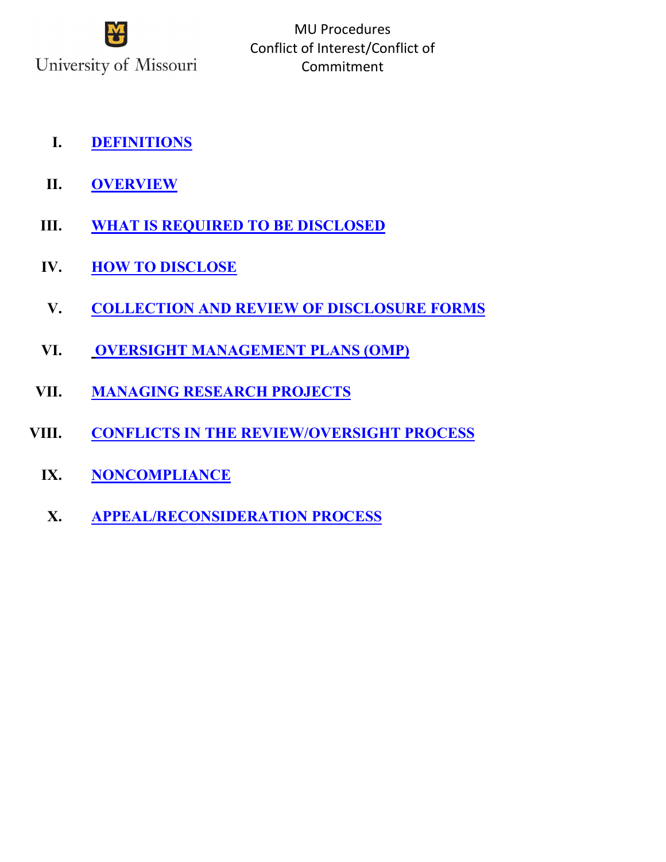

- **I. [DEFINITIONS](#page-1-0)**
- **II. [OVERVIEW](#page-3-0)**
- **III. [WHAT IS REQUIRED TO BE DISCLOSED](#page-3-1)**
- **IV. [HOW TO DISCLOSE](#page-4-0)**
- **V. [COLLECTION AND REVIEW OF DISCLOSURE FORMS](#page-4-1)**
- **VI. [OVERSIGHT MANAGEMENT PLANS \(OMP\)](#page-13-0)**
- **VII. [MANAGING RESEARCH PROJECTS](#page-13-1)**
- **VIII. [CONFLICTS IN THE REVIEW/OVERSIGHT PROCESS](#page-14-0)**
	- **IX. [NONCOMPLIANCE](#page-14-1)**
	- **X. [APPEAL/RECONSIDERATION PROCESS](#page-15-0)**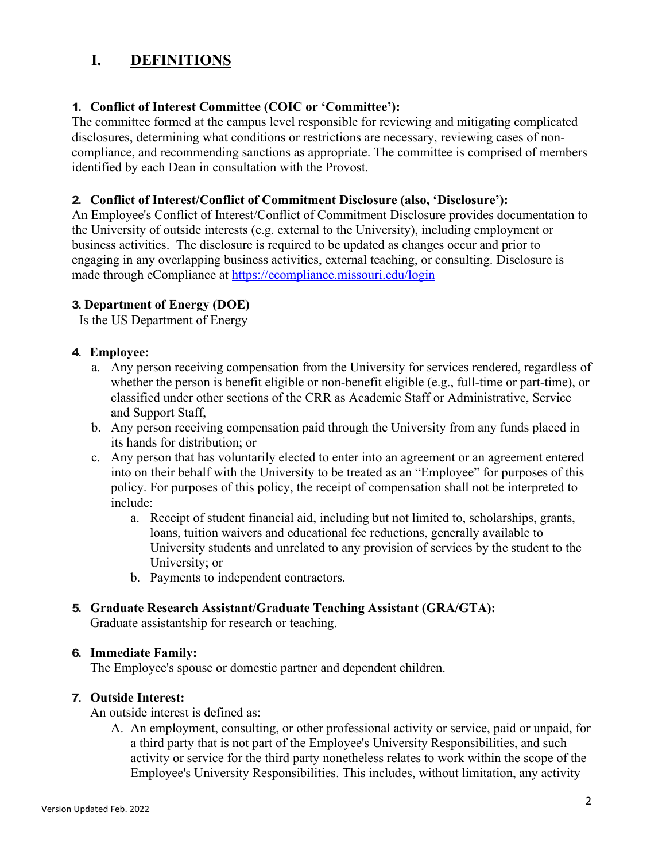## <span id="page-1-0"></span>**I. DEFINITIONS**

### **1. Conflict of Interest Committee (COIC or 'Committee'):**

The committee formed at the campus level responsible for reviewing and mitigating complicated disclosures, determining what conditions or restrictions are necessary, reviewing cases of noncompliance, and recommending sanctions as appropriate. The committee is comprised of members identified by each Dean in consultation with the Provost.

### **2. Conflict of Interest/Conflict of Commitment Disclosure (also, 'Disclosure'):**

An Employee's Conflict of Interest/Conflict of Commitment Disclosure provides documentation to the University of outside interests (e.g. external to the University), including employment or business activities. The disclosure is required to be updated as changes occur and prior to engaging in any overlapping business activities, external teaching, or consulting. Disclosure is made through eCompliance at<https://ecompliance.missouri.edu/login>

### **3. Department of Energy (DOE)**

Is the US Department of Energy

### **4. Employee:**

- a. Any person receiving compensation from the University for services rendered, regardless of whether the person is benefit eligible or non-benefit eligible (e.g., full-time or part-time), or classified under other sections of the CRR as Academic Staff or Administrative, Service and Support Staff,
- b. Any person receiving compensation paid through the University from any funds placed in its hands for distribution; or
- c. Any person that has voluntarily elected to enter into an agreement or an agreement entered into on their behalf with the University to be treated as an "Employee" for purposes of this policy. For purposes of this policy, the receipt of compensation shall not be interpreted to include:
	- a. Receipt of student financial aid, including but not limited to, scholarships, grants, loans, tuition waivers and educational fee reductions, generally available to University students and unrelated to any provision of services by the student to the University; or
	- b. Payments to independent contractors.

### **5. Graduate Research Assistant/Graduate Teaching Assistant (GRA/GTA):**

Graduate assistantship for research or teaching.

### **6. Immediate Family:**

The Employee's spouse or domestic partner and dependent children.

### **7. Outside Interest:**

An outside interest is defined as:

A. An employment, consulting, or other professional activity or service, paid or unpaid, for a third party that is not part of the Employee's University Responsibilities, and such activity or service for the third party nonetheless relates to work within the scope of the Employee's University Responsibilities. This includes, without limitation, any activity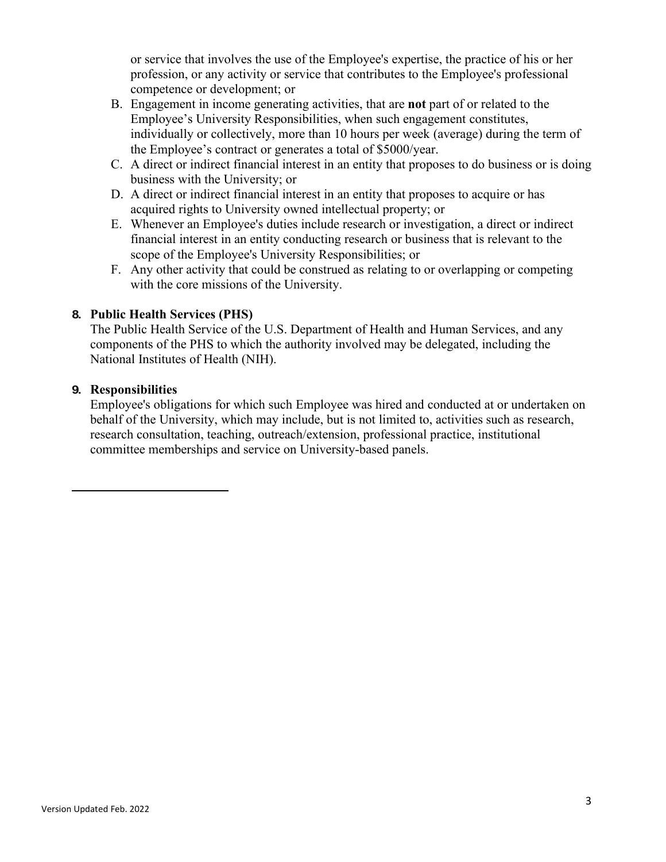or service that involves the use of the Employee's expertise, the practice of his or her profession, or any activity or service that contributes to the Employee's professional competence or development; or

- B. Engagement in income generating activities, that are **not** part of or related to the Employee's University Responsibilities, when such engagement constitutes, individually or collectively, more than 10 hours per week (average) during the term of the Employee's contract or generates a total of \$5000/year.
- C. A direct or indirect financial interest in an entity that proposes to do business or is doing business with the University; or
- D. A direct or indirect financial interest in an entity that proposes to acquire or has acquired rights to University owned intellectual property; or
- E. Whenever an Employee's duties include research or investigation, a direct or indirect financial interest in an entity conducting research or business that is relevant to the scope of the Employee's University Responsibilities; or
- F. Any other activity that could be construed as relating to or overlapping or competing with the core missions of the University.

### **8. Public Health Services (PHS)**

The Public Health Service of the U.S. Department of Health and Human Services, and any components of the PHS to which the authority involved may be delegated, including the National Institutes of Health (NIH).

### **9. Responsibilities**

Employee's obligations for which such Employee was hired and conducted at or undertaken on behalf of the University, which may include, but is not limited to, activities such as research, research consultation, teaching, outreach/extension, professional practice, institutional committee memberships and service on University-based panels.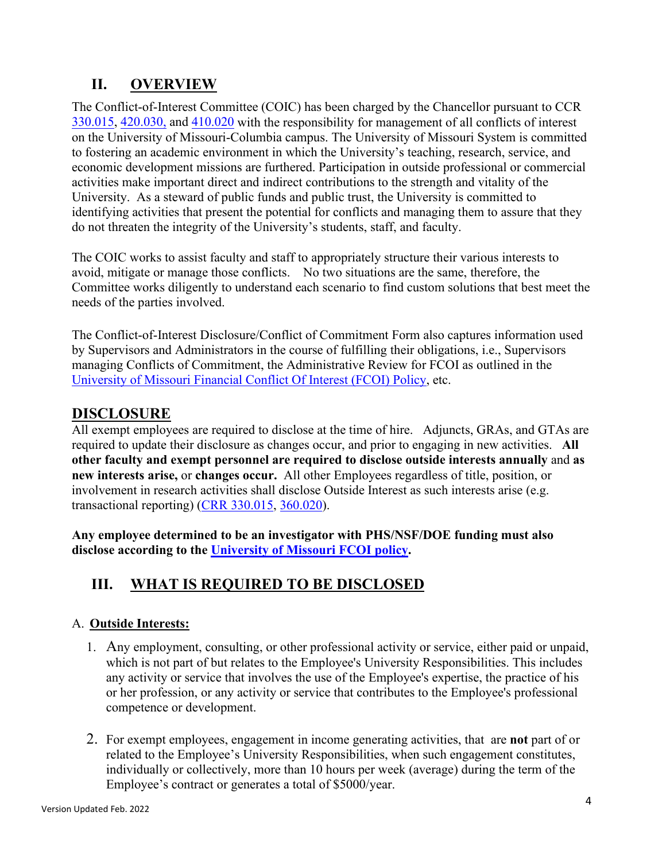# <span id="page-3-0"></span>**II. OVERVIEW**

The Conflict-of-Interest Committee (COIC) has been charged by the Chancellor pursuant to CCR [330.015,](https://www.umsystem.edu/ums/rules/collected_rules/personnel/ch330/330.015_policy_on_conflict_of_interest) [420.030,](https://www.umsystem.edu/ums/rules/collected_rules/research/ch420/420.030_conflict_with_the_interests_of_federal_grant_agencies) and [410.020](https://www.umsystem.edu/ums/rules/collected_rules/research/ch410/410.010_research_involving_humans_in_experiments) with the responsibility for management of all conflicts of interest on the University of Missouri-Columbia campus. The University of Missouri System is committed to fostering an academic environment in which the University's teaching, research, service, and economic development missions are furthered. Participation in outside professional or commercial activities make important direct and indirect contributions to the strength and vitality of the University. As a steward of public funds and public trust, the University is committed to identifying activities that present the potential for conflicts and managing them to assure that they do not threaten the integrity of the University's students, staff, and faculty.

The COIC works to assist faculty and staff to appropriately structure their various interests to avoid, mitigate or manage those conflicts. No two situations are the same, therefore, the Committee works diligently to understand each scenario to find custom solutions that best meet the needs of the parties involved.

The Conflict-of-Interest Disclosure/Conflict of Commitment Form also captures information used by Supervisors and Administrators in the course of fulfilling their obligations, i.e., Supervisors managing Conflicts of Commitment, the Administrative Review for FCOI as outlined in the University of Missouri Financial Conflict Of Interest (FCOI) Policy, etc.

## **DISCLOSURE**

All exempt employees are required to disclose at the time of hire. Adjuncts, GRAs, and GTAs are required to update their disclosure as changes occur, and prior to engaging in new activities. **All other faculty and exempt personnel are required to disclose outside interests annually** and **as new interests arise,** or **changes occur.** All other Employees regardless of title, position, or involvement in research activities shall disclose Outside Interest as such interests arise (e.g. transactional reporting) [\(CRR 330.015,](https://www.umsystem.edu/ums/rules/collected_rules/personnel/ch330/330.015_policy_on_conflict_of_interest) [360.020\)](https://www.umsystem.edu/ums/rules/collected_rules/personnel/ch360/360.020_summer_appointments_and_consultation).

**Any employee determined to be an investigator with PHS/NSF/DOE funding must also disclose according to the University of Missouri FCOI policy.**

# <span id="page-3-1"></span>**III. WHAT IS REQUIRED TO BE DISCLOSED**

## A. **Outside Interests:**

- 1. Any employment, consulting, or other professional activity or service, either paid or unpaid, which is not part of but relates to the Employee's University Responsibilities. This includes any activity or service that involves the use of the Employee's expertise, the practice of his or her profession, or any activity or service that contributes to the Employee's professional competence or development.
- 2. For exempt employees, engagement in income generating activities, that are **not** part of or related to the Employee's University Responsibilities, when such engagement constitutes, individually or collectively, more than 10 hours per week (average) during the term of the Employee's contract or generates a total of \$5000/year.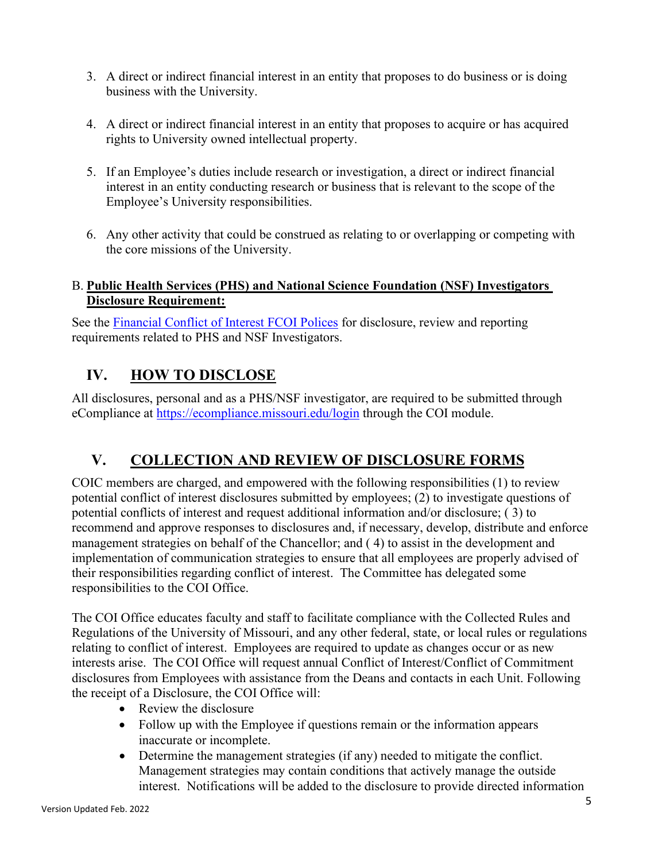- 3. A direct or indirect financial interest in an entity that proposes to do business or is doing business with the University.
- 4. A direct or indirect financial interest in an entity that proposes to acquire or has acquired rights to University owned intellectual property.
- 5. If an Employee's duties include research or investigation, a direct or indirect financial interest in an entity conducting research or business that is relevant to the scope of the Employee's University responsibilities.
- 6. Any other activity that could be construed as relating to or overlapping or competing with the core missions of the University.

## B. **Public Health Services (PHS) and National Science Foundation (NSF) Investigators Disclosure Requirement:**

See the [Financial Conflict of Interest FCOI Polices](file://rd-orcs.col.missouri.edu/research$/COI/Policy%20and%20Procedure/Procedures%20on%20COI/2021%20-%20FCOI%20POLICY.docx) for disclosure, review and reporting requirements related to PHS and NSF Investigators.

# <span id="page-4-0"></span>**IV. HOW TO DISCLOSE**

All disclosures, personal and as a PHS/NSF investigator, are required to be submitted through eCompliance at <https://ecompliance.missouri.edu/login> through the COI module.

# <span id="page-4-1"></span>**V. [COLLECTION AND REVIEW](#page-3-0) OF DISCLOSURE FORMS**

COIC members are charged, and empowered with the following responsibilities (1) to review potential conflict of interest disclosures submitted by employees; (2) to investigate questions of potential conflicts of interest and request additional information and/or disclosure; ( 3) to recommend and approve responses to disclosures and, if necessary, develop, distribute and enforce management strategies on behalf of the Chancellor; and ( 4) to assist in the development and implementation of communication strategies to ensure that all employees are properly advised of their responsibilities regarding conflict of interest. The Committee has delegated some responsibilities to the COI Office.

The COI Office educates faculty and staff to facilitate compliance with the Collected Rules and Regulations of the University of Missouri, and any other federal, state, or local rules or regulations relating to conflict of interest. Employees are required to update as changes occur or as new interests arise. The COI Office will request annual Conflict of Interest/Conflict of Commitment disclosures from Employees with assistance from the Deans and contacts in each Unit. Following the receipt of a Disclosure, the COI Office will:

- Review the disclosure
- Follow up with the Employee if questions remain or the information appears inaccurate or incomplete.
- Determine the management strategies (if any) needed to mitigate the conflict. Management strategies may contain conditions that actively manage the outside interest. Notifications will be added to the disclosure to provide directed information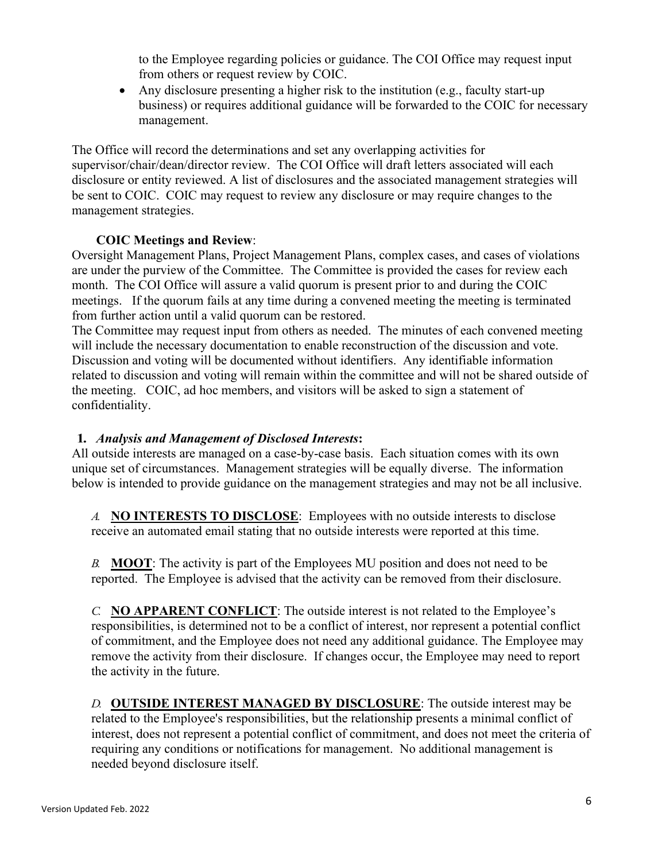to the Employee regarding policies or guidance. The COI Office may request input from others or request review by COIC.

• Any disclosure presenting a higher risk to the institution (e.g., faculty start-up) business) or requires additional guidance will be forwarded to the COIC for necessary management.

The Office will record the determinations and set any overlapping activities for supervisor/chair/dean/director review. The COI Office will draft letters associated will each disclosure or entity reviewed. A list of disclosures and the associated management strategies will be sent to COIC. COIC may request to review any disclosure or may require changes to the management strategies.

### **COIC Meetings and Review**:

Oversight Management Plans, Project Management Plans, complex cases, and cases of violations are under the purview of the Committee. The Committee is provided the cases for review each month. The COI Office will assure a valid quorum is present prior to and during the COIC meetings. If the quorum fails at any time during a convened meeting the meeting is terminated from further action until a valid quorum can be restored.

The Committee may request input from others as needed. The minutes of each convened meeting will include the necessary documentation to enable reconstruction of the discussion and vote. Discussion and voting will be documented without identifiers. Any identifiable information related to discussion and voting will remain within the committee and will not be shared outside of the meeting. COIC, ad hoc members, and visitors will be asked to sign a statement of confidentiality.

### **1.** *Analysis and Management of Disclosed Interests***:**

All outside interests are managed on a case-by-case basis. Each situation comes with its own unique set of circumstances. Management strategies will be equally diverse. The information below is intended to provide guidance on the management strategies and may not be all inclusive.

*A.* **NO INTERESTS TO DISCLOSE**: Employees with no outside interests to disclose receive an automated email stating that no outside interests were reported at this time.

*B.* **MOOT**: The activity is part of the Employees MU position and does not need to be reported. The Employee is advised that the activity can be removed from their disclosure.

*C.* **NO APPARENT CONFLICT**: The outside interest is not related to the Employee's responsibilities, is determined not to be a conflict of interest, nor represent a potential conflict of commitment, and the Employee does not need any additional guidance. The Employee may remove the activity from their disclosure. If changes occur, the Employee may need to report the activity in the future.

*D.* **OUTSIDE INTEREST MANAGED BY DISCLOSURE**: The outside interest may be related to the Employee's responsibilities, but the relationship presents a minimal conflict of interest, does not represent a potential conflict of commitment, and does not meet the criteria of requiring any conditions or notifications for management. No additional management is needed beyond disclosure itself.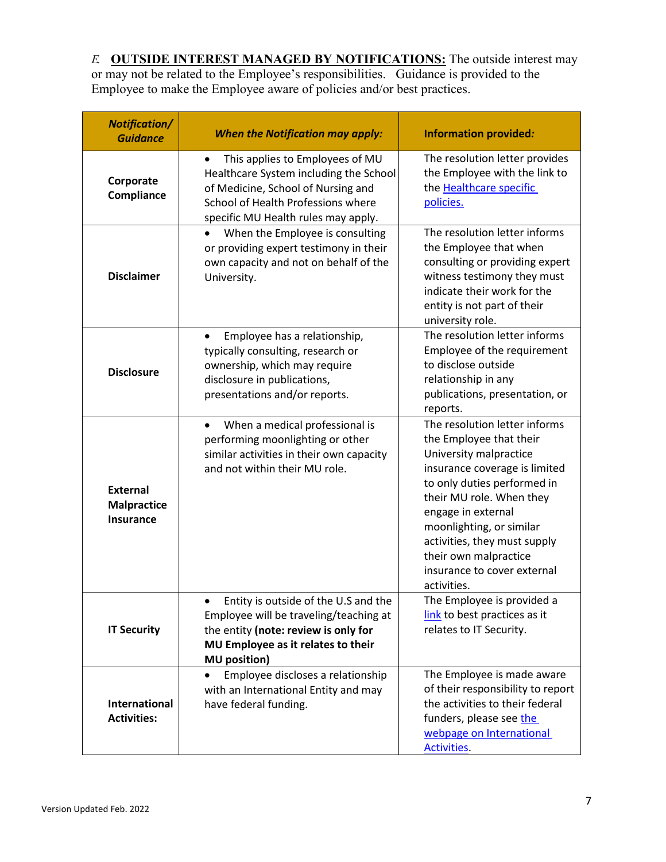*E.* **OUTSIDE INTEREST MANAGED BY NOTIFICATIONS:** The outside interest may or may not be related to the Employee's responsibilities. Guidance is provided to the Employee to make the Employee aware of policies and/or best practices.

| <b>Notification/</b><br><b>Guidance</b>                   | <b>When the Notification may apply:</b>                                                                                                                                                           | <b>Information provided:</b>                                                                                                                                                                                                                                                                                                            |
|-----------------------------------------------------------|---------------------------------------------------------------------------------------------------------------------------------------------------------------------------------------------------|-----------------------------------------------------------------------------------------------------------------------------------------------------------------------------------------------------------------------------------------------------------------------------------------------------------------------------------------|
| Corporate<br>Compliance                                   | This applies to Employees of MU<br>٠<br>Healthcare System including the School<br>of Medicine, School of Nursing and<br>School of Health Professions where<br>specific MU Health rules may apply. | The resolution letter provides<br>the Employee with the link to<br>the <b>Healthcare</b> specific<br>policies.                                                                                                                                                                                                                          |
| <b>Disclaimer</b>                                         | When the Employee is consulting<br>or providing expert testimony in their<br>own capacity and not on behalf of the<br>University.                                                                 | The resolution letter informs<br>the Employee that when<br>consulting or providing expert<br>witness testimony they must<br>indicate their work for the<br>entity is not part of their<br>university role.                                                                                                                              |
| <b>Disclosure</b>                                         | Employee has a relationship,<br>$\bullet$<br>typically consulting, research or<br>ownership, which may require<br>disclosure in publications,<br>presentations and/or reports.                    | The resolution letter informs<br>Employee of the requirement<br>to disclose outside<br>relationship in any<br>publications, presentation, or<br>reports.                                                                                                                                                                                |
| <b>External</b><br><b>Malpractice</b><br><b>Insurance</b> | When a medical professional is<br>performing moonlighting or other<br>similar activities in their own capacity<br>and not within their MU role.                                                   | The resolution letter informs<br>the Employee that their<br>University malpractice<br>insurance coverage is limited<br>to only duties performed in<br>their MU role. When they<br>engage in external<br>moonlighting, or similar<br>activities, they must supply<br>their own malpractice<br>insurance to cover external<br>activities. |
| <b>IT Security</b>                                        | Entity is outside of the U.S and the<br>Employee will be traveling/teaching at<br>the entity (note: review is only for<br>MU Employee as it relates to their<br><b>MU</b> position)               | The Employee is provided a<br>link to best practices as it<br>relates to IT Security.                                                                                                                                                                                                                                                   |
| <b>International</b><br><b>Activities:</b>                | Employee discloses a relationship<br>with an International Entity and may<br>have federal funding.                                                                                                | The Employee is made aware<br>of their responsibility to report<br>the activities to their federal<br>funders, please see the<br>webpage on International<br>Activities.                                                                                                                                                                |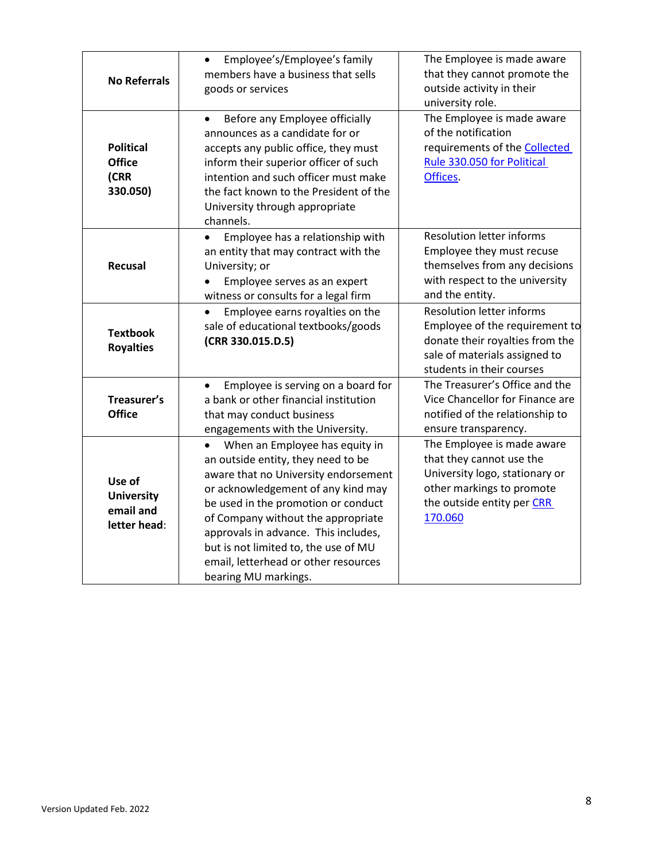| <b>No Referrals</b>                                      | Employee's/Employee's family<br>$\bullet$<br>members have a business that sells<br>goods or services                                                                                                                                                                                                                                                                                         | The Employee is made aware<br>that they cannot promote the<br>outside activity in their<br>university role.                                                         |
|----------------------------------------------------------|----------------------------------------------------------------------------------------------------------------------------------------------------------------------------------------------------------------------------------------------------------------------------------------------------------------------------------------------------------------------------------------------|---------------------------------------------------------------------------------------------------------------------------------------------------------------------|
| <b>Political</b><br><b>Office</b><br>(CRR<br>330.050)    | Before any Employee officially<br>$\bullet$<br>announces as a candidate for or<br>accepts any public office, they must<br>inform their superior officer of such<br>intention and such officer must make<br>the fact known to the President of the<br>University through appropriate<br>channels.                                                                                             | The Employee is made aware<br>of the notification<br>requirements of the <b>Collected</b><br>Rule 330.050 for Political<br>Offices.                                 |
| Recusal                                                  | Employee has a relationship with<br>an entity that may contract with the<br>University; or<br>Employee serves as an expert<br>witness or consults for a legal firm                                                                                                                                                                                                                           | <b>Resolution letter informs</b><br>Employee they must recuse<br>themselves from any decisions<br>with respect to the university<br>and the entity.                 |
| <b>Textbook</b><br><b>Royalties</b>                      | Employee earns royalties on the<br>sale of educational textbooks/goods<br>(CRR 330.015.D.5)                                                                                                                                                                                                                                                                                                  | <b>Resolution letter informs</b><br>Employee of the requirement to<br>donate their royalties from the<br>sale of materials assigned to<br>students in their courses |
| Treasurer's<br><b>Office</b>                             | Employee is serving on a board for<br>a bank or other financial institution<br>that may conduct business<br>engagements with the University.                                                                                                                                                                                                                                                 | The Treasurer's Office and the<br>Vice Chancellor for Finance are<br>notified of the relationship to<br>ensure transparency.                                        |
| Use of<br><b>University</b><br>email and<br>letter head: | When an Employee has equity in<br>$\bullet$<br>an outside entity, they need to be<br>aware that no University endorsement<br>or acknowledgement of any kind may<br>be used in the promotion or conduct<br>of Company without the appropriate<br>approvals in advance. This includes,<br>but is not limited to, the use of MU<br>email, letterhead or other resources<br>bearing MU markings. | The Employee is made aware<br>that they cannot use the<br>University logo, stationary or<br>other markings to promote<br>the outside entity per CRR<br>170.060      |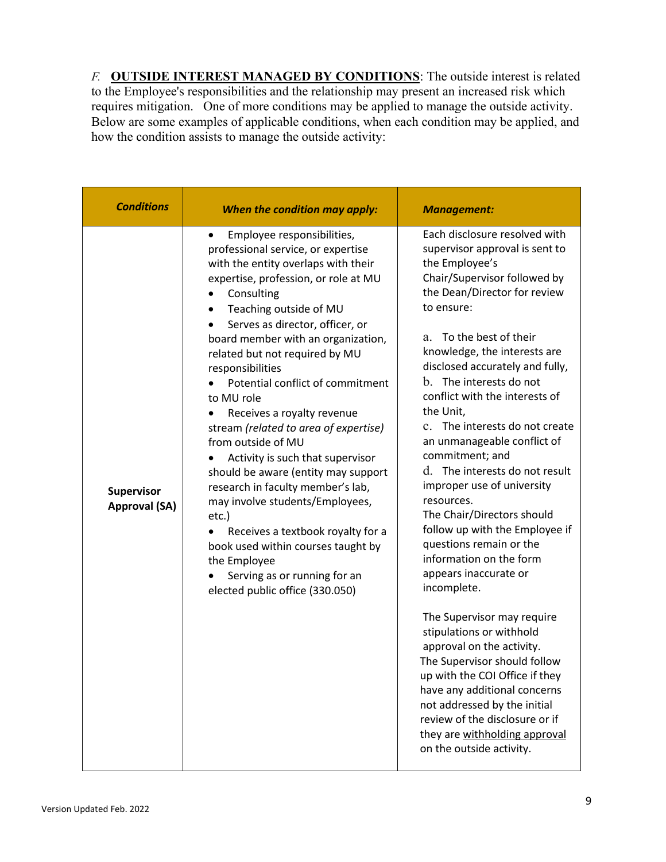*F.* **OUTSIDE INTEREST MANAGED BY CONDITIONS**: The outside interest is related to the Employee's responsibilities and the relationship may present an increased risk which requires mitigation. One of more conditions may be applied to manage the outside activity. Below are some examples of applicable conditions, when each condition may be applied, and how the condition assists to manage the outside activity:

| <b>Conditions</b>                  | When the condition may apply:                                                                                                                                                                                                                                                                                                                                                                                                                                                                                                                                                                                                                                                                                                                                                                             | <b>Management:</b>                                                                                                                                                                                                                                                                                                                                                                                                                                                                                                                                                                                                                                                                                                                                                                                                                                                                                                                                                                                                |
|------------------------------------|-----------------------------------------------------------------------------------------------------------------------------------------------------------------------------------------------------------------------------------------------------------------------------------------------------------------------------------------------------------------------------------------------------------------------------------------------------------------------------------------------------------------------------------------------------------------------------------------------------------------------------------------------------------------------------------------------------------------------------------------------------------------------------------------------------------|-------------------------------------------------------------------------------------------------------------------------------------------------------------------------------------------------------------------------------------------------------------------------------------------------------------------------------------------------------------------------------------------------------------------------------------------------------------------------------------------------------------------------------------------------------------------------------------------------------------------------------------------------------------------------------------------------------------------------------------------------------------------------------------------------------------------------------------------------------------------------------------------------------------------------------------------------------------------------------------------------------------------|
| Supervisor<br><b>Approval (SA)</b> | Employee responsibilities,<br>٠<br>professional service, or expertise<br>with the entity overlaps with their<br>expertise, profession, or role at MU<br>Consulting<br>Teaching outside of MU<br>٠<br>Serves as director, officer, or<br>board member with an organization,<br>related but not required by MU<br>responsibilities<br>Potential conflict of commitment<br>to MU role<br>Receives a royalty revenue<br>stream (related to area of expertise)<br>from outside of MU<br>Activity is such that supervisor<br>should be aware (entity may support<br>research in faculty member's lab,<br>may involve students/Employees,<br>etc.)<br>Receives a textbook royalty for a<br>book used within courses taught by<br>the Employee<br>Serving as or running for an<br>elected public office (330.050) | Each disclosure resolved with<br>supervisor approval is sent to<br>the Employee's<br>Chair/Supervisor followed by<br>the Dean/Director for review<br>to ensure:<br>To the best of their<br>a.<br>knowledge, the interests are<br>disclosed accurately and fully,<br>b. The interests do not<br>conflict with the interests of<br>the Unit,<br>The interests do not create<br>$\mathbf{c}$ .<br>an unmanageable conflict of<br>commitment; and<br>d. The interests do not result<br>improper use of university<br>resources.<br>The Chair/Directors should<br>follow up with the Employee if<br>questions remain or the<br>information on the form<br>appears inaccurate or<br>incomplete.<br>The Supervisor may require<br>stipulations or withhold<br>approval on the activity.<br>The Supervisor should follow<br>up with the COI Office if they<br>have any additional concerns<br>not addressed by the initial<br>review of the disclosure or if<br>they are withholding approval<br>on the outside activity. |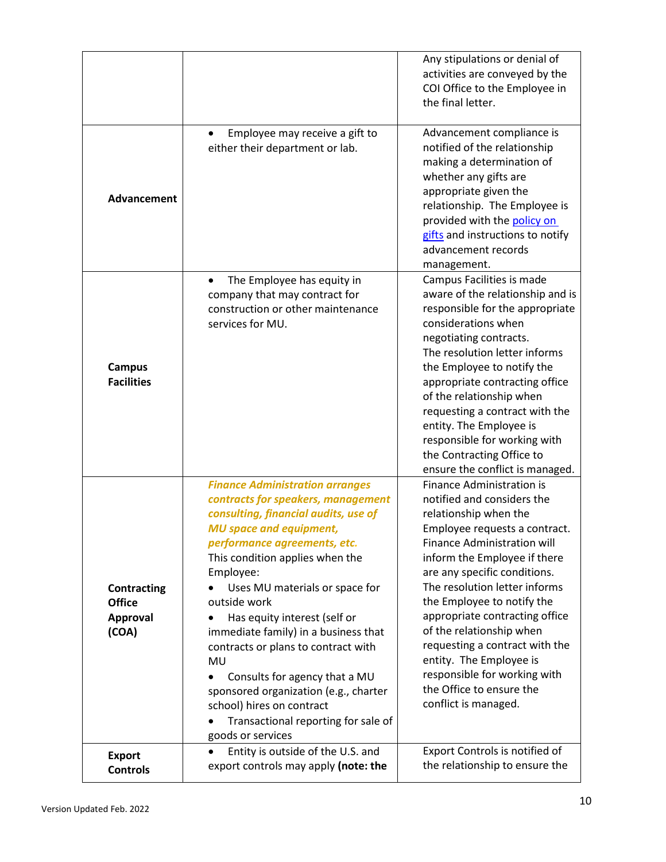|                                                                 |                                                                                                                                                                                                                                                                                                                                                                                                                                                                                                                                                                                  | Any stipulations or denial of<br>activities are conveyed by the<br>COI Office to the Employee in<br>the final letter.                                                                                                                                                                                                                                                                                                                                                                                        |
|-----------------------------------------------------------------|----------------------------------------------------------------------------------------------------------------------------------------------------------------------------------------------------------------------------------------------------------------------------------------------------------------------------------------------------------------------------------------------------------------------------------------------------------------------------------------------------------------------------------------------------------------------------------|--------------------------------------------------------------------------------------------------------------------------------------------------------------------------------------------------------------------------------------------------------------------------------------------------------------------------------------------------------------------------------------------------------------------------------------------------------------------------------------------------------------|
| Advancement                                                     | Employee may receive a gift to<br>$\bullet$<br>either their department or lab.                                                                                                                                                                                                                                                                                                                                                                                                                                                                                                   | Advancement compliance is<br>notified of the relationship<br>making a determination of<br>whether any gifts are<br>appropriate given the<br>relationship. The Employee is<br>provided with the policy on<br>gifts and instructions to notify<br>advancement records<br>management.                                                                                                                                                                                                                           |
| <b>Campus</b><br><b>Facilities</b>                              | The Employee has equity in<br>$\bullet$<br>company that may contract for<br>construction or other maintenance<br>services for MU.                                                                                                                                                                                                                                                                                                                                                                                                                                                | Campus Facilities is made<br>aware of the relationship and is<br>responsible for the appropriate<br>considerations when<br>negotiating contracts.<br>The resolution letter informs<br>the Employee to notify the<br>appropriate contracting office<br>of the relationship when<br>requesting a contract with the<br>entity. The Employee is<br>responsible for working with<br>the Contracting Office to<br>ensure the conflict is managed.                                                                  |
| <b>Contracting</b><br><b>Office</b><br><b>Approval</b><br>(COA) | <b>Finance Administration arranges</b><br>contracts for speakers, management<br>consulting, financial audits, use of<br><b>MU space and equipment,</b><br>performance agreements, etc.<br>This condition applies when the<br>Employee:<br>Uses MU materials or space for<br>outside work<br>Has equity interest (self or<br>immediate family) in a business that<br>contracts or plans to contract with<br>MU<br>Consults for agency that a MU<br>sponsored organization (e.g., charter<br>school) hires on contract<br>Transactional reporting for sale of<br>goods or services | <b>Finance Administration is</b><br>notified and considers the<br>relationship when the<br>Employee requests a contract.<br><b>Finance Administration will</b><br>inform the Employee if there<br>are any specific conditions.<br>The resolution letter informs<br>the Employee to notify the<br>appropriate contracting office<br>of the relationship when<br>requesting a contract with the<br>entity. The Employee is<br>responsible for working with<br>the Office to ensure the<br>conflict is managed. |
| <b>Export</b><br><b>Controls</b>                                | Entity is outside of the U.S. and<br>$\bullet$<br>export controls may apply (note: the                                                                                                                                                                                                                                                                                                                                                                                                                                                                                           | Export Controls is notified of<br>the relationship to ensure the                                                                                                                                                                                                                                                                                                                                                                                                                                             |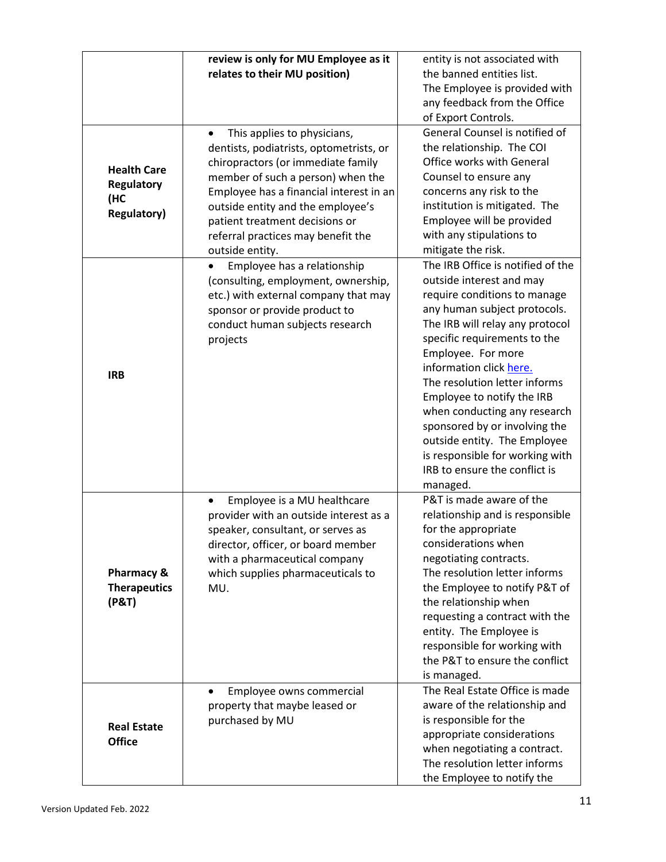|                                                                      | review is only for MU Employee as it<br>relates to their MU position)                                                                                                                                                                                                                                                                     | entity is not associated with<br>the banned entities list.<br>The Employee is provided with                                                                                                                                                                                                                                                                                                                                                                                                       |
|----------------------------------------------------------------------|-------------------------------------------------------------------------------------------------------------------------------------------------------------------------------------------------------------------------------------------------------------------------------------------------------------------------------------------|---------------------------------------------------------------------------------------------------------------------------------------------------------------------------------------------------------------------------------------------------------------------------------------------------------------------------------------------------------------------------------------------------------------------------------------------------------------------------------------------------|
|                                                                      |                                                                                                                                                                                                                                                                                                                                           | any feedback from the Office<br>of Export Controls.                                                                                                                                                                                                                                                                                                                                                                                                                                               |
| <b>Health Care</b><br><b>Regulatory</b><br>(HC<br><b>Regulatory)</b> | This applies to physicians,<br>$\bullet$<br>dentists, podiatrists, optometrists, or<br>chiropractors (or immediate family<br>member of such a person) when the<br>Employee has a financial interest in an<br>outside entity and the employee's<br>patient treatment decisions or<br>referral practices may benefit the<br>outside entity. | General Counsel is notified of<br>the relationship. The COI<br>Office works with General<br>Counsel to ensure any<br>concerns any risk to the<br>institution is mitigated. The<br>Employee will be provided<br>with any stipulations to<br>mitigate the risk.                                                                                                                                                                                                                                     |
| <b>IRB</b>                                                           | Employee has a relationship<br>(consulting, employment, ownership,<br>etc.) with external company that may<br>sponsor or provide product to<br>conduct human subjects research<br>projects                                                                                                                                                | The IRB Office is notified of the<br>outside interest and may<br>require conditions to manage<br>any human subject protocols.<br>The IRB will relay any protocol<br>specific requirements to the<br>Employee. For more<br>information click here.<br>The resolution letter informs<br>Employee to notify the IRB<br>when conducting any research<br>sponsored by or involving the<br>outside entity. The Employee<br>is responsible for working with<br>IRB to ensure the conflict is<br>managed. |
| Pharmacy &<br><b>Therapeutics</b><br>(P&T)                           | Employee is a MU healthcare<br>provider with an outside interest as a<br>speaker, consultant, or serves as<br>director, officer, or board member<br>with a pharmaceutical company<br>which supplies pharmaceuticals to<br>MU.                                                                                                             | P&T is made aware of the<br>relationship and is responsible<br>for the appropriate<br>considerations when<br>negotiating contracts.<br>The resolution letter informs<br>the Employee to notify P&T of<br>the relationship when<br>requesting a contract with the<br>entity. The Employee is<br>responsible for working with<br>the P&T to ensure the conflict<br>is managed.                                                                                                                      |
| <b>Real Estate</b><br><b>Office</b>                                  | Employee owns commercial<br>property that maybe leased or<br>purchased by MU                                                                                                                                                                                                                                                              | The Real Estate Office is made<br>aware of the relationship and<br>is responsible for the<br>appropriate considerations<br>when negotiating a contract.<br>The resolution letter informs<br>the Employee to notify the                                                                                                                                                                                                                                                                            |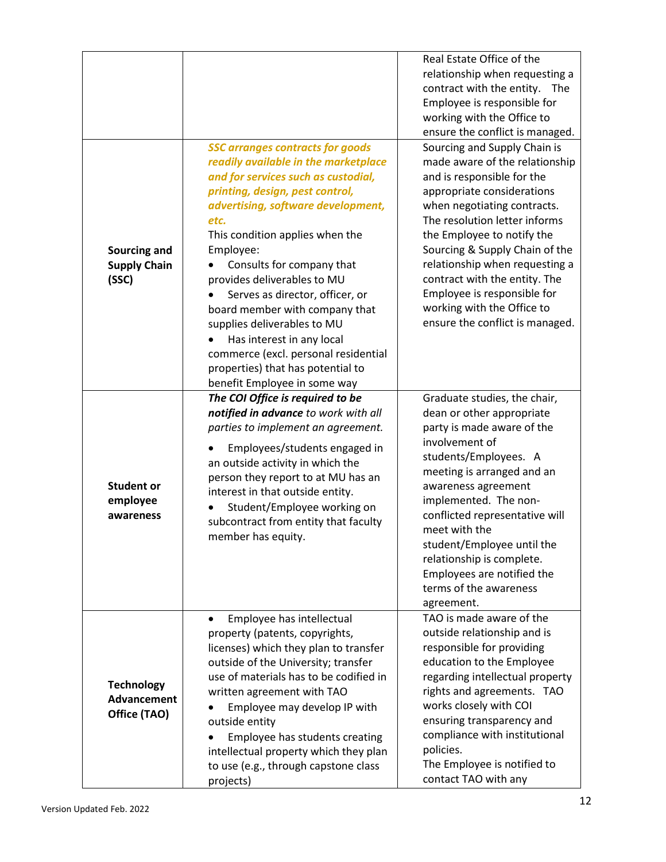| Sourcing and<br><b>Supply Chain</b><br>(SSC)     | <b>SSC arranges contracts for goods</b><br>readily available in the marketplace<br>and for services such as custodial,<br>printing, design, pest control,<br>advertising, software development,<br>etc.<br>This condition applies when the<br>Employee:<br>Consults for company that<br>provides deliverables to MU<br>Serves as director, officer, or<br>board member with company that<br>supplies deliverables to MU<br>Has interest in any local<br>commerce (excl. personal residential<br>properties) that has potential to<br>benefit Employee in some way | Real Estate Office of the<br>relationship when requesting a<br>contract with the entity.<br>The<br>Employee is responsible for<br>working with the Office to<br>ensure the conflict is managed.<br>Sourcing and Supply Chain is<br>made aware of the relationship<br>and is responsible for the<br>appropriate considerations<br>when negotiating contracts.<br>The resolution letter informs<br>the Employee to notify the<br>Sourcing & Supply Chain of the<br>relationship when requesting a<br>contract with the entity. The<br>Employee is responsible for<br>working with the Office to<br>ensure the conflict is managed. |
|--------------------------------------------------|-------------------------------------------------------------------------------------------------------------------------------------------------------------------------------------------------------------------------------------------------------------------------------------------------------------------------------------------------------------------------------------------------------------------------------------------------------------------------------------------------------------------------------------------------------------------|----------------------------------------------------------------------------------------------------------------------------------------------------------------------------------------------------------------------------------------------------------------------------------------------------------------------------------------------------------------------------------------------------------------------------------------------------------------------------------------------------------------------------------------------------------------------------------------------------------------------------------|
| <b>Student or</b><br>employee<br>awareness       | The COI Office is required to be<br>notified in advance to work with all<br>parties to implement an agreement.<br>Employees/students engaged in<br>an outside activity in which the<br>person they report to at MU has an<br>interest in that outside entity.<br>Student/Employee working on<br>subcontract from entity that faculty<br>member has equity.                                                                                                                                                                                                        | Graduate studies, the chair,<br>dean or other appropriate<br>party is made aware of the<br>involvement of<br>students/Employees. A<br>meeting is arranged and an<br>awareness agreement<br>implemented. The non-<br>conflicted representative will<br>meet with the<br>student/Employee until the<br>relationship is complete.<br>Employees are notified the<br>terms of the awareness<br>agreement.                                                                                                                                                                                                                             |
| <b>Technology</b><br>Advancement<br>Office (TAO) | Employee has intellectual<br>٠<br>property (patents, copyrights,<br>licenses) which they plan to transfer<br>outside of the University; transfer<br>use of materials has to be codified in<br>written agreement with TAO<br>Employee may develop IP with<br>outside entity<br>Employee has students creating<br>intellectual property which they plan<br>to use (e.g., through capstone class<br>projects)                                                                                                                                                        | TAO is made aware of the<br>outside relationship and is<br>responsible for providing<br>education to the Employee<br>regarding intellectual property<br>rights and agreements. TAO<br>works closely with COI<br>ensuring transparency and<br>compliance with institutional<br>policies.<br>The Employee is notified to<br>contact TAO with any                                                                                                                                                                                                                                                                                   |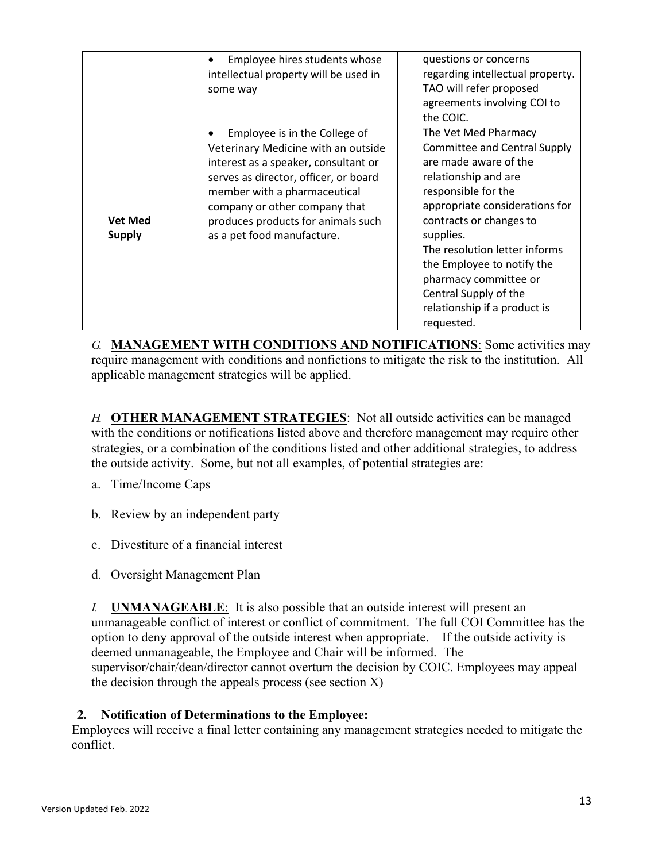|                                 | Employee hires students whose<br>intellectual property will be used in<br>some way                                                                                                                                                                                                         | questions or concerns<br>regarding intellectual property.<br>TAO will refer proposed<br>agreements involving COI to<br>the COIC.                                                                                                                                                                                                                                             |
|---------------------------------|--------------------------------------------------------------------------------------------------------------------------------------------------------------------------------------------------------------------------------------------------------------------------------------------|------------------------------------------------------------------------------------------------------------------------------------------------------------------------------------------------------------------------------------------------------------------------------------------------------------------------------------------------------------------------------|
| <b>Vet Med</b><br><b>Supply</b> | Employee is in the College of<br>Veterinary Medicine with an outside<br>interest as a speaker, consultant or<br>serves as director, officer, or board<br>member with a pharmaceutical<br>company or other company that<br>produces products for animals such<br>as a pet food manufacture. | The Vet Med Pharmacy<br><b>Committee and Central Supply</b><br>are made aware of the<br>relationship and are<br>responsible for the<br>appropriate considerations for<br>contracts or changes to<br>supplies.<br>The resolution letter informs<br>the Employee to notify the<br>pharmacy committee or<br>Central Supply of the<br>relationship if a product is<br>requested. |

*G.* **MANAGEMENT WITH CONDITIONS AND NOTIFICATIONS**: Some activities may require management with conditions and nonfictions to mitigate the risk to the institution. All applicable management strategies will be applied.

*H.* **OTHER MANAGEMENT STRATEGIES**: Not all outside activities can be managed with the conditions or notifications listed above and therefore management may require other strategies, or a combination of the conditions listed and other additional strategies, to address the outside activity. Some, but not all examples, of potential strategies are:

- a. Time/Income Caps
- b. Review by an independent party
- c. Divestiture of a financial interest
- d. Oversight Management Plan

*I.* **UNMANAGEABLE**: It is also possible that an outside interest will present an unmanageable conflict of interest or conflict of commitment. The full COI Committee has the option to deny approval of the outside interest when appropriate. If the outside activity is deemed unmanageable, the Employee and Chair will be informed. The supervisor/chair/dean/director cannot overturn the decision by COIC. Employees may appeal the decision through the appeals process (see section  $X$ )

### **2. Notification of Determinations to the Employee:**

Employees will receive a final letter containing any management strategies needed to mitigate the conflict.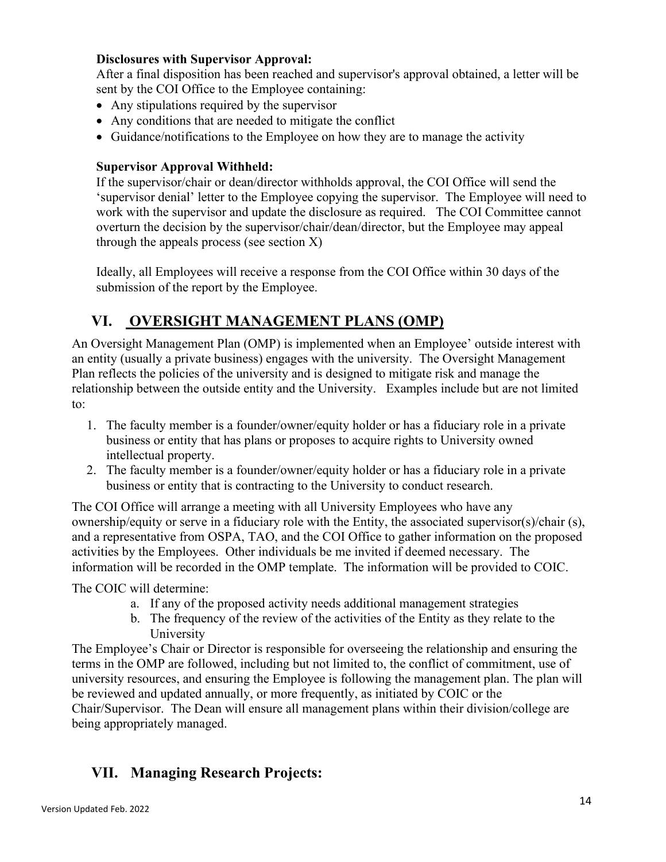### **Disclosures with Supervisor Approval:**

After a final disposition has been reached and supervisor's approval obtained, a letter will be sent by the COI Office to the Employee containing:

- Any stipulations required by the supervisor
- Any conditions that are needed to mitigate the conflict
- Guidance/notifications to the Employee on how they are to manage the activity

### **Supervisor Approval Withheld:**

If the supervisor/chair or dean/director withholds approval, the COI Office will send the 'supervisor denial' letter to the Employee copying the supervisor. The Employee will need to work with the supervisor and update the disclosure as required. The COI Committee cannot overturn the decision by the supervisor/chair/dean/director, but the Employee may appeal through the appeals process (see section  $X$ )

Ideally, all Employees will receive a response from the COI Office within 30 days of the submission of the report by the Employee.

## <span id="page-13-0"></span>**VI. OVERSIGHT MANAGEMENT PLANS (OMP)**

An Oversight Management Plan (OMP) is implemented when an Employee' outside interest with an entity (usually a private business) engages with the university. The Oversight Management Plan reflects the policies of the university and is designed to mitigate risk and manage the relationship between the outside entity and the University. Examples include but are not limited to:

- 1. The faculty member is a founder/owner/equity holder or has a fiduciary role in a private business or entity that has plans or proposes to acquire rights to University owned intellectual property.
- 2. The faculty member is a founder/owner/equity holder or has a fiduciary role in a private business or entity that is contracting to the University to conduct research.

The COI Office will arrange a meeting with all University Employees who have any ownership/equity or serve in a fiduciary role with the Entity, the associated supervisor(s)/chair (s), and a representative from OSPA, TAO, and the COI Office to gather information on the proposed activities by the Employees. Other individuals be me invited if deemed necessary. The information will be recorded in the OMP template. The information will be provided to COIC.

The COIC will determine:

- a. If any of the proposed activity needs additional management strategies
- b. The frequency of the review of the activities of the Entity as they relate to the University

The Employee's Chair or Director is responsible for overseeing the relationship and ensuring the terms in the OMP are followed, including but not limited to, the conflict of commitment, use of university resources, and ensuring the Employee is following the management plan. The plan will be reviewed and updated annually, or more frequently, as initiated by COIC or the Chair/Supervisor. The Dean will ensure all management plans within their division/college are being appropriately managed.

# <span id="page-13-1"></span>**VII. Managing Research Projects:**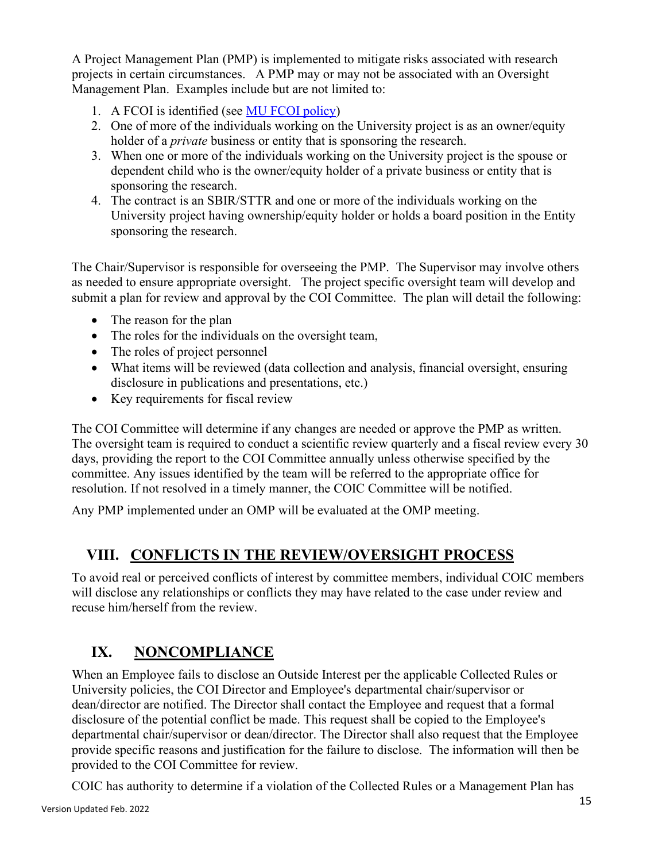A Project Management Plan (PMP) is implemented to mitigate risks associated with research projects in certain circumstances. A PMP may or may not be associated with an Oversight Management Plan. Examples include but are not limited to:

- 1. A FCOI is identified (see MU FCOI policy)
- 2. One of more of the individuals working on the University project is as an owner/equity holder of a *private* business or entity that is sponsoring the research.
- 3. When one or more of the individuals working on the University project is the spouse or dependent child who is the owner/equity holder of a private business or entity that is sponsoring the research.
- 4. The contract is an SBIR/STTR and one or more of the individuals working on the University project having ownership/equity holder or holds a board position in the Entity sponsoring the research.

The Chair/Supervisor is responsible for overseeing the PMP. The Supervisor may involve others as needed to ensure appropriate oversight. The project specific oversight team will develop and submit a plan for review and approval by the COI Committee. The plan will detail the following:

- The reason for the plan
- The roles for the individuals on the oversight team,
- The roles of project personnel
- What items will be reviewed (data collection and analysis, financial oversight, ensuring disclosure in publications and presentations, etc.)
- Key requirements for fiscal review

The COI Committee will determine if any changes are needed or approve the PMP as written. The oversight team is required to conduct a scientific review quarterly and a fiscal review every 30 days, providing the report to the COI Committee annually unless otherwise specified by the committee. Any issues identified by the team will be referred to the appropriate office for resolution. If not resolved in a timely manner, the COIC Committee will be notified.

Any PMP implemented under an OMP will be evaluated at the OMP meeting.

# <span id="page-14-0"></span>**VIII. CONFLICTS IN THE REVIEW/OVERSIGHT PROCESS**

To avoid real or perceived conflicts of interest by committee members, individual COIC members will disclose any relationships or conflicts they may have related to the case under review and recuse him/herself from the review.

# <span id="page-14-1"></span>**IX. NONCOMPLIANCE**

When an Employee fails to disclose an Outside Interest per the applicable Collected Rules or University policies, the COI Director and Employee's departmental chair/supervisor or dean/director are notified. The Director shall contact the Employee and request that a formal disclosure of the potential conflict be made. This request shall be copied to the Employee's departmental chair/supervisor or dean/director. The Director shall also request that the Employee provide specific reasons and justification for the failure to disclose. The information will then be provided to the COI Committee for review.

COIC has authority to determine if a violation of the Collected Rules or a Management Plan has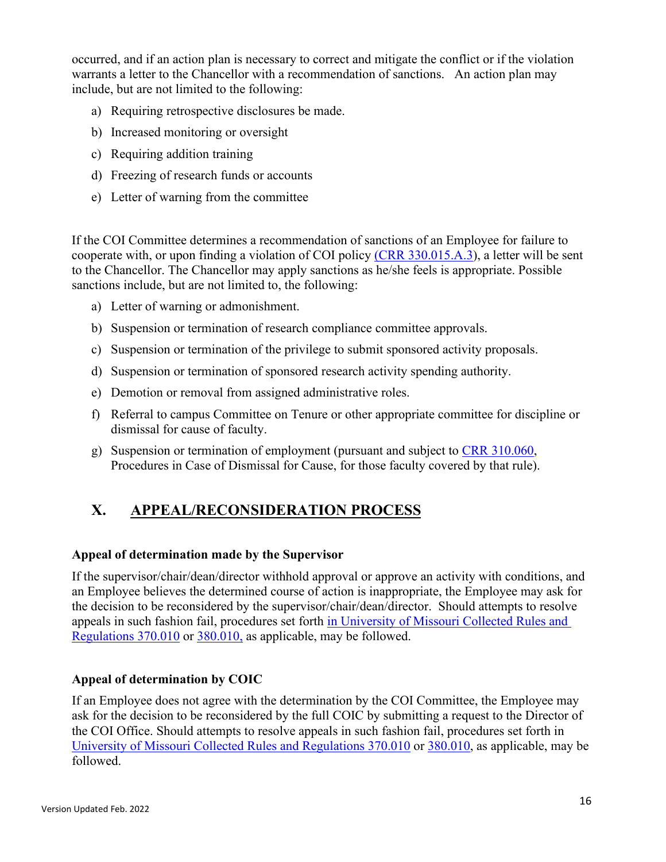occurred, and if an action plan is necessary to correct and mitigate the conflict or if the violation warrants a letter to the Chancellor with a recommendation of sanctions. An action plan may include, but are not limited to the following:

- a) Requiring retrospective disclosures be made.
- b) Increased monitoring or oversight
- c) Requiring addition training
- d) Freezing of research funds or accounts
- e) Letter of warning from the committee

If the COI Committee determines a recommendation of sanctions of an Employee for failure to cooperate with, or upon finding a violation of COI policy [\(CRR 330.015.A.3\)](https://www.umsystem.edu/ums/rules/collected_rules/personnel/ch330/330.015_policy_on_conflict_of_interest), a letter will be sent to the Chancellor. The Chancellor may apply sanctions as he/she feels is appropriate. Possible sanctions include, but are not limited to, the following:

- a) Letter of warning or admonishment.
- b) Suspension or termination of research compliance committee approvals.
- c) Suspension or termination of the privilege to submit sponsored activity proposals.
- d) Suspension or termination of sponsored research activity spending authority.
- e) Demotion or removal from assigned administrative roles.
- f) Referral to campus Committee on Tenure or other appropriate committee for discipline or dismissal for cause of faculty.
- g) Suspension or termination of employment (pursuant and subject to [CRR 310.060,](https://www.umsystem.edu/ums/rules/collected_rules/faculty/ch310/310.060_procedures_in_case_of_dismissal_for_cause) Procedures in Case of Dismissal for Cause, for those faculty covered by that rule).

# <span id="page-15-0"></span>**X. APPEAL/RECONSIDERATION PROCESS**

### **Appeal of determination made by the Supervisor**

If the supervisor/chair/dean/director withhold approval or approve an activity with conditions, and an Employee believes the determined course of action is inappropriate, the Employee may ask for the decision to be reconsidered by the supervisor/chair/dean/director. Should attempts to resolve appeals in such fashion fail, procedures set forth [in University of Missouri Collected Rules and](https://www.umsystem.edu/ums/rules/collected_rules/grievance/ch370/370.010_Academic_Grievance_Procedure)  [Regulations 370.010](https://www.umsystem.edu/ums/rules/collected_rules/grievance/ch370/370.010_Academic_Grievance_Procedure) or [380.010,](https://www.umsystem.edu/ums/rules/collected_rules/grievance/ch380/380.010_grievance_procedure_administrative_service_support_staff) as applicable, may be followed.

### **Appeal of determination by COIC**

If an Employee does not agree with the determination by the COI Committee, the Employee may ask for the decision to be reconsidered by the full COIC by submitting a request to the Director of the COI Office. Should attempts to resolve appeals in such fashion fail, procedures set forth in [University of Missouri Collected Rules and Regulations 370.010](https://www.umsystem.edu/ums/rules/collected_rules/grievance/ch370/370.010_Academic_Grievance_Procedure) or [380.010,](https://www.umsystem.edu/ums/rules/collected_rules/grievance/ch380/380.010_grievance_procedure_administrative_service_support_staff) as applicable, may be followed.